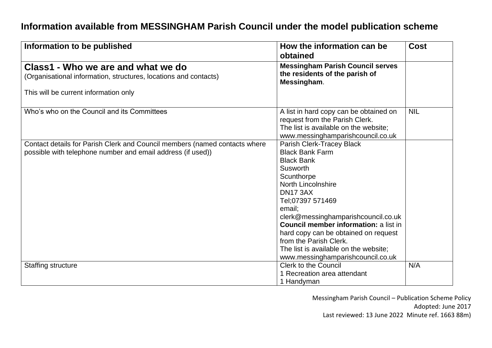## **Information available from MESSINGHAM Parish Council under the model publication scheme**

| Information to be published                                                                                                               | How the information can be<br>obtained                                                                                                                                                                                                                                                                                                                                                                                  | <b>Cost</b> |
|-------------------------------------------------------------------------------------------------------------------------------------------|-------------------------------------------------------------------------------------------------------------------------------------------------------------------------------------------------------------------------------------------------------------------------------------------------------------------------------------------------------------------------------------------------------------------------|-------------|
| Class1 - Who we are and what we do<br>(Organisational information, structures, locations and contacts)                                    | <b>Messingham Parish Council serves</b><br>the residents of the parish of<br>Messingham.                                                                                                                                                                                                                                                                                                                                |             |
| This will be current information only                                                                                                     |                                                                                                                                                                                                                                                                                                                                                                                                                         |             |
| Who's who on the Council and its Committees                                                                                               | A list in hard copy can be obtained on<br>request from the Parish Clerk.<br>The list is available on the website;<br>www.messinghamparishcouncil.co.uk                                                                                                                                                                                                                                                                  | <b>NIL</b>  |
| Contact details for Parish Clerk and Council members (named contacts where<br>possible with telephone number and email address (if used)) | Parish Clerk-Tracey Black<br><b>Black Bank Farm</b><br><b>Black Bank</b><br>Susworth<br>Scunthorpe<br><b>North Lincolnshire</b><br><b>DN17 3AX</b><br>Tel;07397 571469<br>email:<br>clerk@messinghamparishcouncil.co.uk<br><b>Council member information: a list in</b><br>hard copy can be obtained on request<br>from the Parish Clerk.<br>The list is available on the website;<br>www.messinghamparishcouncil.co.uk |             |
| <b>Staffing structure</b>                                                                                                                 | <b>Clerk to the Council</b><br>1 Recreation area attendant<br>1 Handyman                                                                                                                                                                                                                                                                                                                                                | N/A         |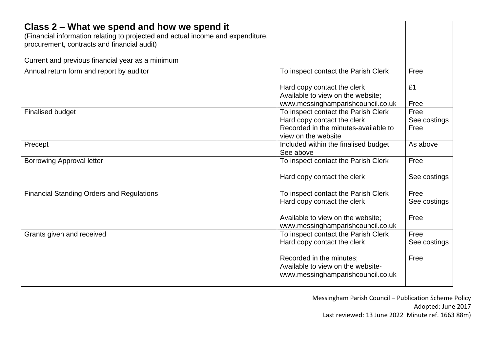| Class 2 - What we spend and how we spend it<br>(Financial information relating to projected and actual income and expenditure,<br>procurement, contracts and financial audit) |                                                                                                    |                      |
|-------------------------------------------------------------------------------------------------------------------------------------------------------------------------------|----------------------------------------------------------------------------------------------------|----------------------|
| Current and previous financial year as a minimum                                                                                                                              |                                                                                                    |                      |
| Annual return form and report by auditor                                                                                                                                      | To inspect contact the Parish Clerk                                                                | Free                 |
|                                                                                                                                                                               | Hard copy contact the clerk<br>Available to view on the website;                                   | £1                   |
| <b>Finalised budget</b>                                                                                                                                                       | www.messinghamparishcouncil.co.uk<br>To inspect contact the Parish Clerk                           | Free<br>Free         |
|                                                                                                                                                                               | Hard copy contact the clerk                                                                        | See costings         |
|                                                                                                                                                                               | Recorded in the minutes-available to<br>view on the website                                        | Free                 |
| Precept                                                                                                                                                                       | Included within the finalised budget<br>See above                                                  | As above             |
| <b>Borrowing Approval letter</b>                                                                                                                                              | To inspect contact the Parish Clerk                                                                | Free                 |
|                                                                                                                                                                               | Hard copy contact the clerk                                                                        | See costings         |
| <b>Financial Standing Orders and Regulations</b>                                                                                                                              | To inspect contact the Parish Clerk                                                                | Free                 |
|                                                                                                                                                                               | Hard copy contact the clerk                                                                        | See costings         |
|                                                                                                                                                                               | Available to view on the website;<br>www.messinghamparishcouncil.co.uk                             | Free                 |
| Grants given and received                                                                                                                                                     | To inspect contact the Parish Clerk<br>Hard copy contact the clerk                                 | Free<br>See costings |
|                                                                                                                                                                               | Recorded in the minutes;<br>Available to view on the website-<br>www.messinghamparishcouncil.co.uk | Free                 |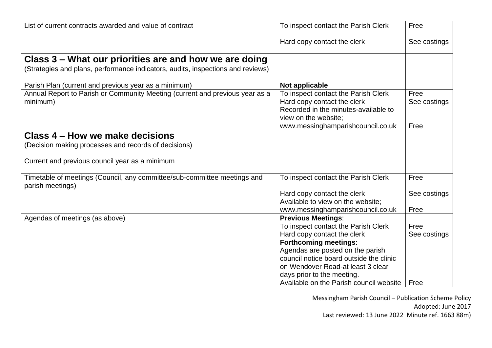| List of current contracts awarded and value of contract                                      | To inspect contact the Parish Clerk                         | Free         |
|----------------------------------------------------------------------------------------------|-------------------------------------------------------------|--------------|
|                                                                                              | Hard copy contact the clerk                                 | See costings |
| Class 3 – What our priorities are and how we are doing                                       |                                                             |              |
| (Strategies and plans, performance indicators, audits, inspections and reviews)              |                                                             |              |
| Parish Plan (current and previous year as a minimum)                                         | Not applicable                                              |              |
| Annual Report to Parish or Community Meeting (current and previous year as a                 | To inspect contact the Parish Clerk                         | Free         |
| minimum)                                                                                     | Hard copy contact the clerk                                 | See costings |
|                                                                                              | Recorded in the minutes-available to                        |              |
|                                                                                              | view on the website;<br>www.messinghamparishcouncil.co.uk   | Free         |
| Class 4 – How we make decisions                                                              |                                                             |              |
|                                                                                              |                                                             |              |
| (Decision making processes and records of decisions)                                         |                                                             |              |
| Current and previous council year as a minimum                                               |                                                             |              |
| Timetable of meetings (Council, any committee/sub-committee meetings and<br>parish meetings) | To inspect contact the Parish Clerk                         | Free         |
|                                                                                              | Hard copy contact the clerk                                 | See costings |
|                                                                                              | Available to view on the website;                           |              |
|                                                                                              | www.messinghamparishcouncil.co.uk                           | Free         |
| Agendas of meetings (as above)                                                               | <b>Previous Meetings:</b>                                   |              |
|                                                                                              | To inspect contact the Parish Clerk                         | Free         |
|                                                                                              | Hard copy contact the clerk<br><b>Forthcoming meetings:</b> | See costings |
|                                                                                              | Agendas are posted on the parish                            |              |
|                                                                                              | council notice board outside the clinic                     |              |
|                                                                                              | on Wendover Road-at least 3 clear                           |              |
|                                                                                              | days prior to the meeting.                                  |              |
|                                                                                              | Available on the Parish council website   Free              |              |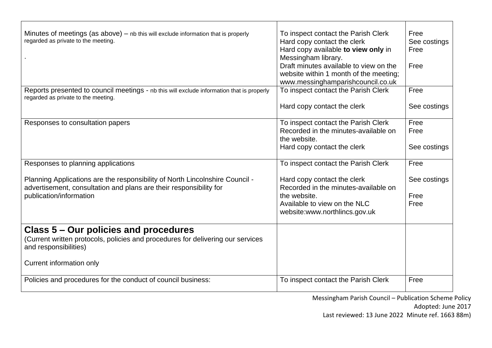| Minutes of meetings (as above) $-$ nb this will exclude information that is properly<br>regarded as private to the meeting.                                                   | To inspect contact the Parish Clerk<br>Hard copy contact the clerk<br>Hard copy available to view only in<br>Messingham library.<br>Draft minutes available to view on the<br>website within 1 month of the meeting;<br>www.messinghamparishcouncil.co.uk | Free<br>See costings<br>Free<br>Free |
|-------------------------------------------------------------------------------------------------------------------------------------------------------------------------------|-----------------------------------------------------------------------------------------------------------------------------------------------------------------------------------------------------------------------------------------------------------|--------------------------------------|
| Reports presented to council meetings - nb this will exclude information that is properly<br>regarded as private to the meeting.                                              | To inspect contact the Parish Clerk<br>Hard copy contact the clerk                                                                                                                                                                                        | Free<br>See costings                 |
| Responses to consultation papers                                                                                                                                              | To inspect contact the Parish Clerk<br>Recorded in the minutes-available on<br>the website.<br>Hard copy contact the clerk                                                                                                                                | Free<br>Free<br>See costings         |
| Responses to planning applications                                                                                                                                            | To inspect contact the Parish Clerk                                                                                                                                                                                                                       | Free                                 |
| Planning Applications are the responsibility of North Lincolnshire Council -<br>advertisement, consultation and plans are their responsibility for<br>publication/information | Hard copy contact the clerk<br>Recorded in the minutes-available on<br>the website.<br>Available to view on the NLC<br>website:www.northlincs.gov.uk                                                                                                      | See costings<br>Free<br>Free         |
| Class 5 – Our policies and procedures<br>(Current written protocols, policies and procedures for delivering our services<br>and responsibilities)<br>Current information only |                                                                                                                                                                                                                                                           |                                      |
| Policies and procedures for the conduct of council business:                                                                                                                  | To inspect contact the Parish Clerk                                                                                                                                                                                                                       | Free                                 |

Messingham Parish Council – Publication Scheme Policy

Adopted: June 2017

Last reviewed: 13 June 2022 Minute ref. 1663 88m)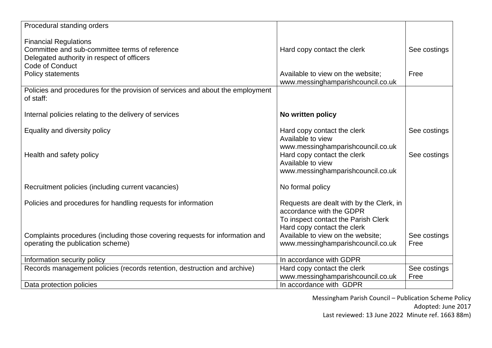| Procedural standing orders                                                     |                                                  |              |
|--------------------------------------------------------------------------------|--------------------------------------------------|--------------|
| <b>Financial Regulations</b>                                                   |                                                  |              |
| Committee and sub-committee terms of reference                                 | Hard copy contact the clerk                      | See costings |
| Delegated authority in respect of officers                                     |                                                  |              |
| Code of Conduct                                                                |                                                  |              |
| <b>Policy statements</b>                                                       | Available to view on the website;                | Free         |
| Policies and procedures for the provision of services and about the employment | www.messinghamparishcouncil.co.uk                |              |
| of staff:                                                                      |                                                  |              |
| Internal policies relating to the delivery of services                         | No written policy                                |              |
| Equality and diversity policy                                                  | Hard copy contact the clerk                      | See costings |
|                                                                                | Available to view                                |              |
| Health and safety policy                                                       | www.messinghamparishcouncil.co.uk                | See costings |
|                                                                                | Hard copy contact the clerk<br>Available to view |              |
|                                                                                | www.messinghamparishcouncil.co.uk                |              |
|                                                                                |                                                  |              |
| Recruitment policies (including current vacancies)                             | No formal policy                                 |              |
| Policies and procedures for handling requests for information                  | Requests are dealt with by the Clerk, in         |              |
|                                                                                | accordance with the GDPR                         |              |
|                                                                                | To inspect contact the Parish Clerk              |              |
|                                                                                | Hard copy contact the clerk                      |              |
| Complaints procedures (including those covering requests for information and   | Available to view on the website;                | See costings |
| operating the publication scheme)                                              | www.messinghamparishcouncil.co.uk                | Free         |
| Information security policy                                                    | In accordance with GDPR                          |              |
| Records management policies (records retention, destruction and archive)       | Hard copy contact the clerk                      | See costings |
|                                                                                | www.messinghamparishcouncil.co.uk                | Free         |
| Data protection policies                                                       | In accordance with GDPR                          |              |

Messingham Parish Council – Publication Scheme Policy

Adopted: June 2017

Last reviewed: 13 June 2022 Minute ref. 1663 88m)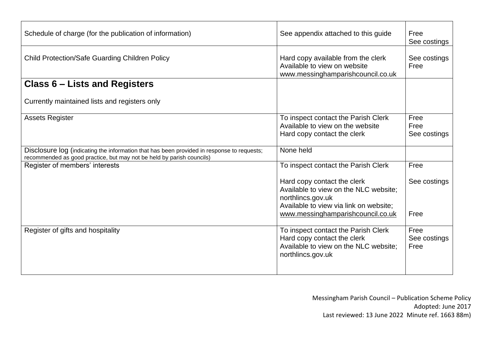| Schedule of charge (for the publication of information)                                                                                                             | See appendix attached to this guide                                                                                                                                      | Free<br>See costings         |
|---------------------------------------------------------------------------------------------------------------------------------------------------------------------|--------------------------------------------------------------------------------------------------------------------------------------------------------------------------|------------------------------|
| <b>Child Protection/Safe Guarding Children Policy</b>                                                                                                               | Hard copy available from the clerk<br>Available to view on website<br>www.messinghamparishcouncil.co.uk                                                                  | See costings<br>Free         |
| <b>Class 6 – Lists and Registers</b>                                                                                                                                |                                                                                                                                                                          |                              |
| Currently maintained lists and registers only                                                                                                                       |                                                                                                                                                                          |                              |
| <b>Assets Register</b>                                                                                                                                              | To inspect contact the Parish Clerk<br>Available to view on the website<br>Hard copy contact the clerk                                                                   | Free<br>Free<br>See costings |
| Disclosure log (indicating the information that has been provided in response to requests;<br>recommended as good practice, but may not be held by parish councils) | None held                                                                                                                                                                |                              |
| Register of members' interests                                                                                                                                      | To inspect contact the Parish Clerk                                                                                                                                      | Free                         |
|                                                                                                                                                                     | Hard copy contact the clerk<br>Available to view on the NLC website:<br>northlincs.gov.uk<br>Available to view via link on website;<br>www.messinghamparishcouncil.co.uk | See costings<br>Free         |
| Register of gifts and hospitality                                                                                                                                   | To inspect contact the Parish Clerk<br>Hard copy contact the clerk<br>Available to view on the NLC website:<br>northlincs.gov.uk                                         | Free<br>See costings<br>Free |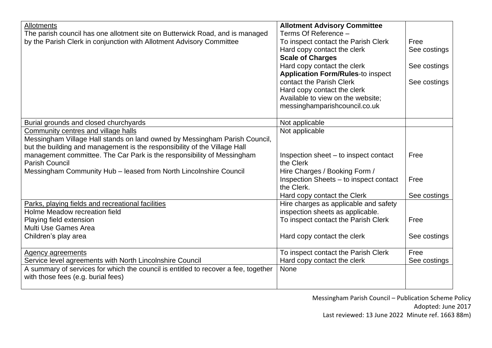| <b>Allotments</b><br>The parish council has one allotment site on Butterwick Road, and is managed<br>by the Parish Clerk in conjunction with Allotment Advisory Committee                                                                                                                                                                                              | <b>Allotment Advisory Committee</b><br>Terms Of Reference -<br>To inspect contact the Parish Clerk<br>Hard copy contact the clerk<br><b>Scale of Charges</b><br>Hard copy contact the clerk<br><b>Application Form/Rules-to inspect</b><br>contact the Parish Clerk<br>Hard copy contact the clerk<br>Available to view on the website;<br>messinghamparishcouncil.co.uk | Free<br>See costings<br>See costings<br>See costings |
|------------------------------------------------------------------------------------------------------------------------------------------------------------------------------------------------------------------------------------------------------------------------------------------------------------------------------------------------------------------------|--------------------------------------------------------------------------------------------------------------------------------------------------------------------------------------------------------------------------------------------------------------------------------------------------------------------------------------------------------------------------|------------------------------------------------------|
| Burial grounds and closed churchyards                                                                                                                                                                                                                                                                                                                                  | Not applicable                                                                                                                                                                                                                                                                                                                                                           |                                                      |
| Community centres and village halls<br>Messingham Village Hall stands on land owned by Messingham Parish Council,<br>but the building and management is the responsibility of the Village Hall<br>management committee. The Car Park is the responsibility of Messingham<br><b>Parish Council</b><br>Messingham Community Hub - leased from North Lincolnshire Council | Not applicable<br>Inspection sheet – to inspect contact<br>the Clerk<br>Hire Charges / Booking Form /<br>Inspection Sheets - to inspect contact<br>the Clerk.<br>Hard copy contact the Clerk                                                                                                                                                                             | Free<br>Free<br>See costings                         |
| Parks, playing fields and recreational facilities<br>Holme Meadow recreation field<br>Playing field extension<br>Multi Use Games Area<br>Children's play area                                                                                                                                                                                                          | Hire charges as applicable and safety<br>inspection sheets as applicable.<br>To inspect contact the Parish Clerk<br>Hard copy contact the clerk                                                                                                                                                                                                                          | Free<br>See costings                                 |
| <b>Agency agreements</b><br>Service level agreements with North Lincolnshire Council<br>A summary of services for which the council is entitled to recover a fee, together<br>with those fees (e.g. burial fees)                                                                                                                                                       | To inspect contact the Parish Clerk<br>Hard copy contact the clerk<br>None                                                                                                                                                                                                                                                                                               | Free<br>See costings                                 |